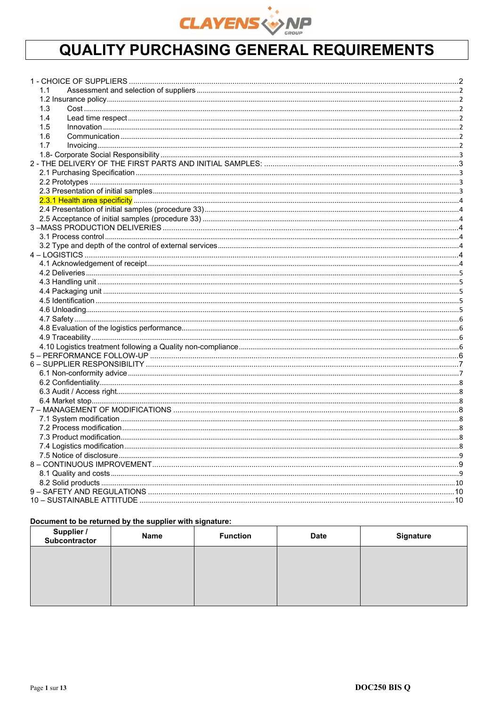

# **QUALITY PURCHASING GENERAL REQUIREMENTS**

| 1.1 |  |
|-----|--|
|     |  |
| 1.3 |  |
| 1.4 |  |
| 1.5 |  |
| 1.6 |  |
| 1.7 |  |
|     |  |
|     |  |
|     |  |
|     |  |
|     |  |
|     |  |
|     |  |
|     |  |
|     |  |
|     |  |
|     |  |
|     |  |
|     |  |
|     |  |
|     |  |
|     |  |
|     |  |
|     |  |
|     |  |
|     |  |
|     |  |
|     |  |
|     |  |
|     |  |
|     |  |
|     |  |
|     |  |
|     |  |
|     |  |
|     |  |
|     |  |
|     |  |
|     |  |
|     |  |
|     |  |
|     |  |
|     |  |
|     |  |
|     |  |
|     |  |

# Document to be returned by the supplier with signature:

| Supplier /<br>Subcontractor | Name | <b>Function</b> | <b>Date</b> | <b>Signature</b> |
|-----------------------------|------|-----------------|-------------|------------------|
|                             |      |                 |             |                  |
|                             |      |                 |             |                  |
|                             |      |                 |             |                  |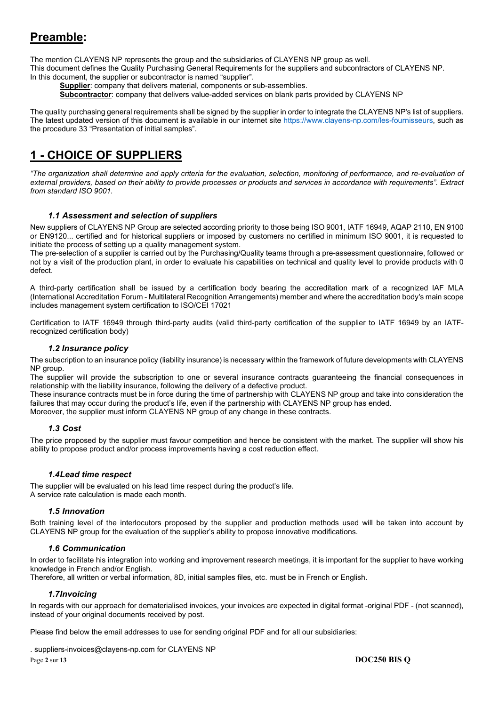# **Preamble:**

The mention CLAYENS NP represents the group and the subsidiaries of CLAYENS NP group as well. This document defines the Quality Purchasing General Requirements for the suppliers and subcontractors of CLAYENS NP.

In this document, the supplier or subcontractor is named "supplier".

**Supplier**: company that delivers material, components or sub-assemblies.

**Subcontractor**: company that delivers value-added services on blank parts provided by CLAYENS NP

The quality purchasing general requirements shall be signed by the supplier in order to integrate the CLAYENS NP's list of suppliers. The latest updated version of this document is available in our internet site https://www.clayens-np.com/les-fournisseurs, such as the procedure 33 "Presentation of initial samples".

# **1 - CHOICE OF SUPPLIERS**

*"The organization shall determine and apply criteria for the evaluation, selection, monitoring of performance, and re-evaluation of external providers, based on their ability to provide processes or products and services in accordance with requirements". Extract from standard ISO 9001.* 

# *1.1 Assessment and selection of suppliers*

New suppliers of CLAYENS NP Group are selected according priority to those being ISO 9001, IATF 16949, AQAP 2110, EN 9100 or EN9120... certified and for historical suppliers or imposed by customers no certified in minimum ISO 9001, it is requested to initiate the process of setting up a quality management system.

The pre-selection of a supplier is carried out by the Purchasing/Quality teams through a pre-assessment questionnaire, followed or not by a visit of the production plant, in order to evaluate his capabilities on technical and quality level to provide products with 0 defect.

A third-party certification shall be issued by a certification body bearing the accreditation mark of a recognized IAF MLA (International Accreditation Forum - Multilateral Recognition Arrangements) member and where the accreditation body's main scope includes management system certification to ISO/CEI 17021

Certification to IATF 16949 through third-party audits (valid third-party certification of the supplier to IATF 16949 by an IATFrecognized certification body)

# *1.2 Insurance policy*

The subscription to an insurance policy (liability insurance) is necessary within the framework of future developments with CLAYENS NP group.

The supplier will provide the subscription to one or several insurance contracts guaranteeing the financial consequences in relationship with the liability insurance, following the delivery of a defective product.

These insurance contracts must be in force during the time of partnership with CLAYENS NP group and take into consideration the failures that may occur during the product's life, even if the partnership with CLAYENS NP group has ended.

Moreover, the supplier must inform CLAYENS NP group of any change in these contracts.

# *1.3 Cost*

The price proposed by the supplier must favour competition and hence be consistent with the market. The supplier will show his ability to propose product and/or process improvements having a cost reduction effect.

# *1.4 Lead time respect*

The supplier will be evaluated on his lead time respect during the product's life. A service rate calculation is made each month.

# *1.5 Innovation*

Both training level of the interlocutors proposed by the supplier and production methods used will be taken into account by CLAYENS NP group for the evaluation of the supplier's ability to propose innovative modifications.

# *1.6 Communication*

In order to facilitate his integration into working and improvement research meetings, it is important for the supplier to have working knowledge in French and/or English.

Therefore, all written or verbal information, 8D, initial samples files, etc. must be in French or English.

# *1.7 Invoicing*

In regards with our approach for dematerialised invoices, your invoices are expected in digital format -original PDF - (not scanned), instead of your original documents received by post.

Please find below the email addresses to use for sending original PDF and for all our subsidiaries:

. suppliers-invoices@clayens-np.com for CLAYENS NP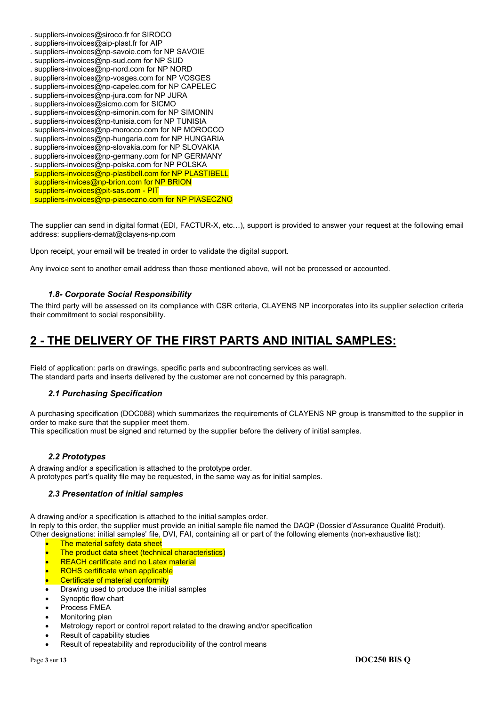- . suppliers-invoices@siroco.fr for SIROCO
- . suppliers-invoices@aip-plast.fr for AIP
- . suppliers-invoices@np-savoie.com for NP SAVOIE
- . suppliers-invoices@np-sud.com for NP SUD
- . suppliers-invoices@np-nord.com for NP NORD
- . suppliers-invoices@np-vosges.com for NP VOSGES
- . suppliers-invoices@np-capelec.com for NP CAPELEC
- . suppliers-invoices@np-jura.com for NP JURA
- . suppliers-invoices@sicmo.com for SICMO
- . suppliers-invoices@np-simonin.com for NP SIMONIN
- . suppliers-invoices@np-tunisia.com for NP TUNISIA . suppliers-invoices@np-morocco.com for NP MOROCCO
- . suppliers-invoices@np-hungaria.com for NP HUNGARIA
- . suppliers-invoices@np-slovakia.com for NP SLOVAKIA
- . suppliers-invoices@np-germany.com for NP GERMANY
- . suppliers-invoices@np-polska.com for NP POLSKA
- suppliers-invoices@np-plastibell.com for NP PLASTIBELL
- suppliers-invices@np-brion.com for NP BRION
- suppliers-invoices@pit-sas.com PIT
- suppliers-invoices@np-piaseczno.com for NP PIASECZNO

The supplier can send in digital format (EDI, FACTUR-X, etc…), support is provided to answer your request at the following email address: suppliers-demat@clayens-np.com

Upon receipt, your email will be treated in order to validate the digital support.

Any invoice sent to another email address than those mentioned above, will not be processed or accounted.

# *1.8- Corporate Social Responsibility*

The third party will be assessed on its compliance with CSR criteria, CLAYENS NP incorporates into its supplier selection criteria their commitment to social responsibility.

# **2 - THE DELIVERY OF THE FIRST PARTS AND INITIAL SAMPLES:**

Field of application: parts on drawings, specific parts and subcontracting services as well. The standard parts and inserts delivered by the customer are not concerned by this paragraph.

# *2.1 Purchasing Specification*

A purchasing specification (DOC088) which summarizes the requirements of CLAYENS NP group is transmitted to the supplier in order to make sure that the supplier meet them.

This specification must be signed and returned by the supplier before the delivery of initial samples.

# *2.2 Prototypes*

A drawing and/or a specification is attached to the prototype order. A prototypes part's quality file may be requested, in the same way as for initial samples.

# *2.3 Presentation of initial samples*

A drawing and/or a specification is attached to the initial samples order. In reply to this order, the supplier must provide an initial sample file named the DAQP (Dossier d'Assurance Qualité Produit). Other designations: initial samples' file, DVI, FAI, containing all or part of the following elements (non-exhaustive list):

- The material safety data sheet
- The product data sheet (technical characteristics)
- REACH certificate and no Latex material
- ROHS certificate when applicable
- Certificate of material conformity
- Drawing used to produce the initial samples
- Synoptic flow chart
- Process FMEA
- Monitoring plan
- Metrology report or control report related to the drawing and/or specification
- Result of capability studies
- Result of repeatability and reproducibility of the control means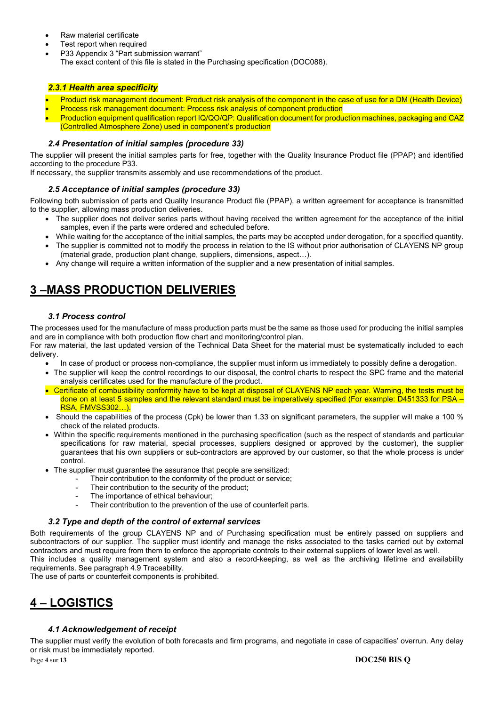- Raw material certificate
- Test report when required
- P33 Appendix 3 "Part submission warrant" The exact content of this file is stated in the Purchasing specification (DOC088).

# *2.3.1 Health area specificity*

- Product risk management document: Product risk analysis of the component in the case of use for a DM (Health Device)
- Process risk management document: Process risk analysis of component production
- Production equipment qualification report IQ/QO/QP: Qualification document for production machines, packaging and CAZ (Controlled Atmosphere Zone) used in component's production

# *2.4 Presentation of initial samples (procedure 33)*

The supplier will present the initial samples parts for free, together with the Quality Insurance Product file (PPAP) and identified according to the procedure P33.

If necessary, the supplier transmits assembly and use recommendations of the product.

# *2.5 Acceptance of initial samples (procedure 33)*

Following both submission of parts and Quality Insurance Product file (PPAP), a written agreement for acceptance is transmitted to the supplier, allowing mass production deliveries.

- The supplier does not deliver series parts without having received the written agreement for the acceptance of the initial samples, even if the parts were ordered and scheduled before.
- While waiting for the acceptance of the initial samples, the parts may be accepted under derogation, for a specified quantity.
- The supplier is committed not to modify the process in relation to the IS without prior authorisation of CLAYENS NP group (material grade, production plant change, suppliers, dimensions, aspect…).
- Any change will require a written information of the supplier and a new presentation of initial samples.

# **3 –MASS PRODUCTION DELIVERIES**

# *3.1 Process control*

The processes used for the manufacture of mass production parts must be the same as those used for producing the initial samples and are in compliance with both production flow chart and monitoring/control plan. For raw material, the last updated version of the Technical Data Sheet for the material must be systematically included to each

delivery.

- In case of product or process non-compliance, the supplier must inform us immediately to possibly define a derogation.
- The supplier will keep the control recordings to our disposal, the control charts to respect the SPC frame and the material analysis certificates used for the manufacture of the product.
- Certificate of combustibility conformity have to be kept at disposal of CLAYENS NP each year. Warning, the tests must be done on at least 5 samples and the relevant standard must be imperatively specified (For example: D451333 for PSA – RSA, FMVSS302…).
- Should the capabilities of the process (Cpk) be lower than 1.33 on significant parameters, the supplier will make a 100 % check of the related products.
- Within the specific requirements mentioned in the purchasing specification (such as the respect of standards and particular specifications for raw material, special processes, suppliers designed or approved by the customer), the supplier guarantees that his own suppliers or sub-contractors are approved by our customer, so that the whole process is under control.
- The supplier must guarantee the assurance that people are sensitized:
	- Their contribution to the conformity of the product or service;
		- Their contribution to the security of the product;
		- The importance of ethical behaviour;
		- Their contribution to the prevention of the use of counterfeit parts.

# *3.2 Type and depth of the control of external services*

Both requirements of the group CLAYENS NP and of Purchasing specification must be entirely passed on suppliers and subcontractors of our supplier. The supplier must identify and manage the risks associated to the tasks carried out by external contractors and must require from them to enforce the appropriate controls to their external suppliers of lower level as well.

This includes a quality management system and also a record-keeping, as well as the archiving lifetime and availability requirements. See paragraph 4.9 Traceability.

The use of parts or counterfeit components is prohibited.

# **4 – LOGISTICS**

# *4.1 Acknowledgement of receipt*

The supplier must verify the evolution of both forecasts and firm programs, and negotiate in case of capacities' overrun. Any delay or risk must be immediately reported.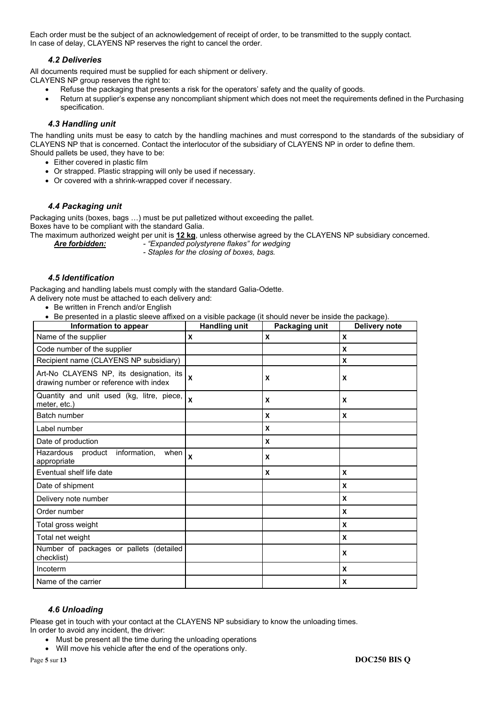Each order must be the subject of an acknowledgement of receipt of order, to be transmitted to the supply contact. In case of delay, CLAYENS NP reserves the right to cancel the order.

## *4.2 Deliveries*

All documents required must be supplied for each shipment or delivery.

- CLAYENS NP group reserves the right to:
	- Refuse the packaging that presents a risk for the operators' safety and the quality of goods.
	- Return at supplier's expense any noncompliant shipment which does not meet the requirements defined in the Purchasing specification.

# *4.3 Handling unit*

The handling units must be easy to catch by the handling machines and must correspond to the standards of the subsidiary of CLAYENS NP that is concerned. Contact the interlocutor of the subsidiary of CLAYENS NP in order to define them. Should pallets be used, they have to be:

- Either covered in plastic film
- Or strapped. Plastic strapping will only be used if necessary.
- Or covered with a shrink-wrapped cover if necessary.

## *4.4 Packaging unit*

Packaging units (boxes, bags …) must be put palletized without exceeding the pallet. Boxes have to be compliant with the standard Galia.

The maximum authorized weight per unit is **12 kg**, unless otherwise agreed by the CLAYENS NP subsidiary concerned.

- *Are forbidden: "Expanded polystyrene flakes" for wedging* 
	- *Staples for the closing of boxes, bags.*

## *4.5 Identification*

Packaging and handling labels must comply with the standard Galia-Odette.

A delivery note must be attached to each delivery and:

- Be written in French and/or English
- Be presented in a plastic sleeve affixed on a visible package (it should never be inside the package).

| Information to appear                                                             | <b>Handling unit</b> | Packaging unit | ີ<br><b>Delivery note</b> |
|-----------------------------------------------------------------------------------|----------------------|----------------|---------------------------|
| Name of the supplier                                                              | X                    | X              | X                         |
| Code number of the supplier                                                       |                      |                | X                         |
| Recipient name (CLAYENS NP subsidiary)                                            |                      |                | X                         |
| Art-No CLAYENS NP, its designation, its<br>drawing number or reference with index | $\mathbf{x}$         | X              | X                         |
| Quantity and unit used (kg, litre, piece,<br>meter, etc.)                         | $\mathbf{x}$         | X              | X                         |
| Batch number                                                                      |                      | X              | X                         |
| Label number                                                                      |                      | X              |                           |
| Date of production                                                                |                      | X              |                           |
| Hazardous<br>product<br>information.<br>when<br>appropriate                       | $\boldsymbol{x}$     | X              |                           |
| Eventual shelf life date                                                          |                      | X              | X                         |
| Date of shipment                                                                  |                      |                | X                         |
| Delivery note number                                                              |                      |                | X                         |
| Order number                                                                      |                      |                | X                         |
| Total gross weight                                                                |                      |                | X                         |
| Total net weight                                                                  |                      |                | X                         |
| Number of packages or pallets (detailed<br>checklist)                             |                      |                | X                         |
| Incoterm                                                                          |                      |                | X                         |
| Name of the carrier                                                               |                      |                | X                         |

## *4.6 Unloading*

Please get in touch with your contact at the CLAYENS NP subsidiary to know the unloading times.

- In order to avoid any incident, the driver:
	- Must be present all the time during the unloading operations
	- Will move his vehicle after the end of the operations only.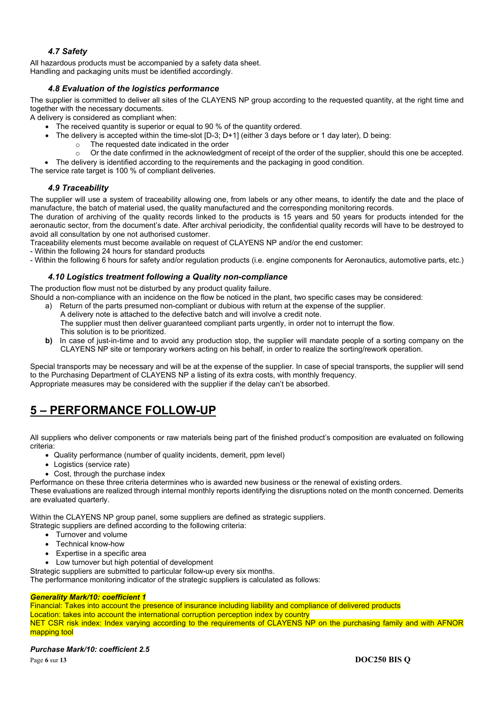# *4.7 Safety*

All hazardous products must be accompanied by a safety data sheet. Handling and packaging units must be identified accordingly.

# *4.8 Evaluation of the logistics performance*

The supplier is committed to deliver all sites of the CLAYENS NP group according to the requested quantity, at the right time and together with the necessary documents.

A delivery is considered as compliant when:

- The received quantity is superior or equal to 90 % of the quantity ordered.
- The delivery is accepted within the time-slot [D-3; D+1] (either 3 days before or 1 day later), D being:
	- The requested date indicated in the order
	- $\circ$  Or the date confirmed in the acknowledgment of receipt of the order of the supplier, should this one be accepted.
- The delivery is identified according to the requirements and the packaging in good condition.

The service rate target is 100 % of compliant deliveries.

## *4.9 Traceability*

The supplier will use a system of traceability allowing one, from labels or any other means, to identify the date and the place of manufacture, the batch of material used, the quality manufactured and the corresponding monitoring records.

The duration of archiving of the quality records linked to the products is 15 years and 50 years for products intended for the aeronautic sector, from the document's date. After archival periodicity, the confidential quality records will have to be destroyed to avoid all consultation by one not authorised customer.

Traceability elements must become available on request of CLAYENS NP and/or the end customer:

- Within the following 24 hours for standard products

- Within the following 6 hours for safety and/or regulation products (i.e. engine components for Aeronautics, automotive parts, etc.)

## *4.10 Logistics treatment following a Quality non-compliance*

The production flow must not be disturbed by any product quality failure.

Should a non-compliance with an incidence on the flow be noticed in the plant, two specific cases may be considered:

- a) Return of the parts presumed non-compliant or dubious with return at the expense of the supplier. A delivery note is attached to the defective batch and will involve a credit note. The supplier must then deliver guaranteed compliant parts urgently, in order not to interrupt the flow. This solution is to be prioritized.
- **b)** In case of just-in-time and to avoid any production stop, the supplier will mandate people of a sorting company on the CLAYENS NP site or temporary workers acting on his behalf, in order to realize the sorting/rework operation.

Special transports may be necessary and will be at the expense of the supplier. In case of special transports, the supplier will send to the Purchasing Department of CLAYENS NP a listing of its extra costs, with monthly frequency. Appropriate measures may be considered with the supplier if the delay can't be absorbed.

# **5 – PERFORMANCE FOLLOW-UP**

All suppliers who deliver components or raw materials being part of the finished product's composition are evaluated on following criteria:

- Quality performance (number of quality incidents, demerit, ppm level)
- Logistics (service rate)
- Cost, through the purchase index

Performance on these three criteria determines who is awarded new business or the renewal of existing orders.

These evaluations are realized through internal monthly reports identifying the disruptions noted on the month concerned. Demerits are evaluated quarterly.

Within the CLAYENS NP group panel, some suppliers are defined as strategic suppliers.

Strategic suppliers are defined according to the following criteria:

- Turnover and volume
- Technical know-how
- Expertise in a specific area
- Low turnover but high potential of development

Strategic suppliers are submitted to particular follow-up every six months.

The performance monitoring indicator of the strategic suppliers is calculated as follows:

### *Generality Mark/10: coefficient 1*

Financial: Takes into account the presence of insurance including liability and compliance of delivered products Location: takes into account the international corruption perception index by country NET CSR risk index: Index varying according to the requirements of CLAYENS NP on the purchasing family and with AFNOR mapping tool

## *Purchase Mark/10: coefficient 2.5*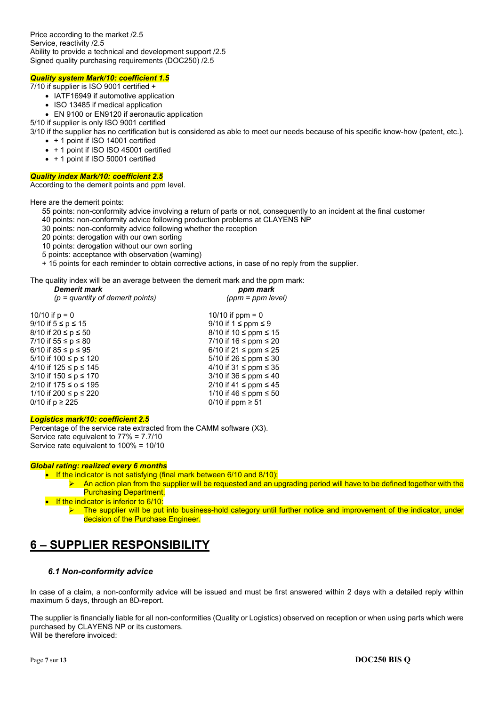Price according to the market /2.5 Service, reactivity /2.5 Ability to provide a technical and development support /2.5 Signed quality purchasing requirements (DOC250) /2.5

### *Quality system Mark/10: coefficient 1.5*

7/10 if supplier is ISO 9001 certified +

- IATF16949 if automotive application
- ISO 13485 if medical application

EN 9100 or EN9120 if aeronautic application

5/10 if supplier is only ISO 9001 certified

3/10 if the supplier has no certification but is considered as able to meet our needs because of his specific know-how (patent, etc.).

- + 1 point if ISO 14001 certified
- + 1 point if ISO ISO 45001 certified
- + 1 point if ISO 50001 certified

### *Quality index Mark/10: coefficient 2.5*

According to the demerit points and ppm level.

Here are the demerit points:

- 55 points: non-conformity advice involving a return of parts or not, consequently to an incident at the final customer
- 40 points: non-conformity advice following production problems at CLAYENS NP
- 30 points: non-conformity advice following whether the reception
- 20 points: derogation with our own sorting
- 10 points: derogation without our own sorting
- 5 points: acceptance with observation (warning)
- + 15 points for each reminder to obtain corrective actions, in case of no reply from the supplier.

The quality index will be an average between the demerit mark and the ppm mark:

| <b>Demerit mark</b>                | ppm mark                        |
|------------------------------------|---------------------------------|
| $(p =$ quantity of demerit points) | $(ppm = ppm level)$             |
| 10/10 if $p = 0$                   | 10/10 if $ppm = 0$              |
| 9/10 if 5 ≤ p ≤ 15                 | $9/10$ if $1 \leq$ ppm $\leq 9$ |
| 8/10 if 20 ≤ p ≤ 50                | 8/10 if $10 \le$ ppm $\le$ 15   |
| 7/10 if 55 ≤ p ≤ 80                | 7/10 if 16 ≤ ppm ≤ 20           |
| 6/10 if 85 ≤ p ≤ 95                | 6/10 if 21 $\le$ ppm $\le$ 25   |
| 5/10 if 100 ≤ p ≤ 120              | 5/10 if $26 \le$ ppm $\le$ 30   |
| 4/10 if 125 ≤ p ≤ 145              | 4/10 if 31 $\le$ ppm $\le$ 35   |
| 3/10 if 150 ≤ p ≤ 170              | 3/10 if $36 \le$ ppm $\le$ 40   |
| 2/10 if 175 ≤ o ≤ 195              | 2/10 if 41 ≤ ppm ≤ 45           |
| 1/10 if 200 ≤ p ≤ 220              | 1/10 if 46 ≤ ppm ≤ 50           |
| 0/10 if p ≥ 225                    | 0/10 if ppm $\geq 51$           |
|                                    |                                 |

### *Logistics mark/10: coefficient 2.5*

Percentage of the service rate extracted from the CAMM software (X3). Service rate equivalent to 77% = 7.7/10 Service rate equivalent to 100% = 10/10

### *Global rating: realized every 6 months*

- $\bullet$  If the indicator is not satisfying (final mark between 6/10 and 8/10):
	- $\blacktriangleright$  An action plan from the supplier will be requested and an upgrading period will have to be defined together with the Purchasing Department.
- $\bullet$  If the indicator is inferior to 6/10:
	- $\triangleright$  The supplier will be put into business-hold category until further notice and improvement of the indicator, under decision of the Purchase Engineer.

# **6 – SUPPLIER RESPONSIBILITY**

## *6.1 Non-conformity advice*

In case of a claim, a non-conformity advice will be issued and must be first answered within 2 days with a detailed reply within maximum 5 days, through an 8D-report.

The supplier is financially liable for all non-conformities (Quality or Logistics) observed on reception or when using parts which were purchased by CLAYENS NP or its customers. Will be therefore invoiced: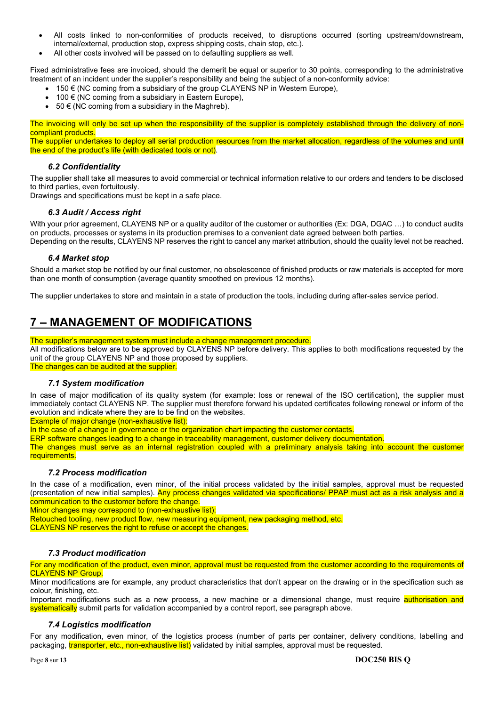- All costs linked to non-conformities of products received, to disruptions occurred (sorting upstream/downstream, internal/external, production stop, express shipping costs, chain stop, etc.).
- All other costs involved will be passed on to defaulting suppliers as well.

Fixed administrative fees are invoiced, should the demerit be equal or superior to 30 points, corresponding to the administrative treatment of an incident under the supplier's responsibility and being the subject of a non-conformity advice:

- 150 € (NC coming from a subsidiary of the group CLAYENS NP in Western Europe),
- 100 € (NC coming from a subsidiary in Eastern Europe),
- 50 € (NC coming from a subsidiary in the Maghreb).

The invoicing will only be set up when the responsibility of the supplier is completely established through the delivery of noncompliant products.

The supplier undertakes to deploy all serial production resources from the market allocation, regardless of the volumes and until the end of the product's life (with dedicated tools or not).

## *6.2 Confidentiality*

The supplier shall take all measures to avoid commercial or technical information relative to our orders and tenders to be disclosed to third parties, even fortuitously.

Drawings and specifications must be kept in a safe place.

## *6.3 Audit / Access right*

With your prior agreement, CLAYENS NP or a quality auditor of the customer or authorities (Ex: DGA, DGAC ...) to conduct audits on products, processes or systems in its production premises to a convenient date agreed between both parties. Depending on the results, CLAYENS NP reserves the right to cancel any market attribution, should the quality level not be reached.

# *6.4 Market stop*

Should a market stop be notified by our final customer, no obsolescence of finished products or raw materials is accepted for more than one month of consumption (average quantity smoothed on previous 12 months).

The supplier undertakes to store and maintain in a state of production the tools, including during after-sales service period.

# **7 – MANAGEMENT OF MODIFICATIONS**

### The supplier's management system must include a change management procedure.

All modifications below are to be approved by CLAYENS NP before delivery. This applies to both modifications requested by the unit of the group CLAYENS NP and those proposed by suppliers.

The changes can be audited at the supplier.

## *7.1 System modification*

In case of major modification of its quality system (for example: loss or renewal of the ISO certification), the supplier must immediately contact CLAYENS NP. The supplier must therefore forward his updated certificates following renewal or inform of the evolution and indicate where they are to be find on the websites.

Example of major change (non-exhaustive list):

In the case of a change in governance or the organization chart impacting the customer contacts.

ERP software changes leading to a change in traceability management, customer delivery documentation.

The changes must serve as an internal registration coupled with a preliminary analysis taking into account the customer requirements.

## *7.2 Process modification*

In the case of a modification, even minor, of the initial process validated by the initial samples, approval must be requested (presentation of new initial samples). Any process changes validated via specifications/ PPAP must act as a risk analysis and a communication to the customer before the change.

Minor changes may correspond to (non-exhaustive list):

Retouched tooling, new product flow, new measuring equipment, new packaging method, etc. CLAYENS NP reserves the right to refuse or accept the changes.

# *7.3 Product modification*

For any modification of the product, even minor, approval must be requested from the customer according to the requirements of **CLAYENS NP Group.** 

Minor modifications are for example, any product characteristics that don't appear on the drawing or in the specification such as colour, finishing, etc.

Important modifications such as a new process, a new machine or a dimensional change, must require authorisation and systematically submit parts for validation accompanied by a control report, see paragraph above.

## *7.4 Logistics modification*

For any modification, even minor, of the logistics process (number of parts per container, delivery conditions, labelling and packaging, **transporter, etc., non-exhaustive list)** validated by initial samples, approval must be requested.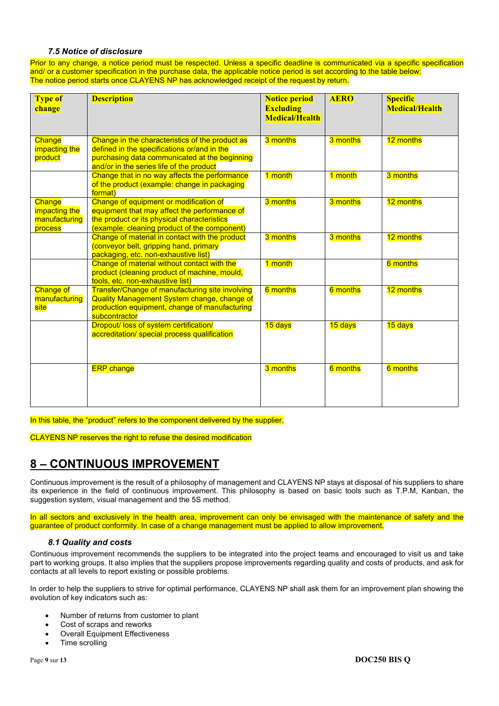# *7.5 Notice of disclosure*

Prior to any change, a notice period must be respected. Unless a specific deadline is communicated via a specific specification and/ or a customer specification in the purchase data, the applicable notice period is set according to the table below: The notice period starts once CLAYENS NP has acknowledged receipt of the request by return.

| <b>Type of</b><br>change                            | <b>Description</b>                                                                                                                                                                          | <b>Notice period</b><br><b>Excluding</b><br><b>Medical/Health</b> | <b>AERO</b> | <b>Specific</b><br><b>Medical/Health</b> |
|-----------------------------------------------------|---------------------------------------------------------------------------------------------------------------------------------------------------------------------------------------------|-------------------------------------------------------------------|-------------|------------------------------------------|
| Change<br>impacting the<br>product                  | Change in the characteristics of the product as<br>defined in the specifications or/and in the<br>purchasing data communicated at the beginning<br>and/or in the series life of the product | 3 months                                                          | 3 months    | 12 months                                |
|                                                     | Change that in no way affects the performance<br>of the product (example: change in packaging<br>format)                                                                                    | 1 month                                                           | 1 month     | 3 months                                 |
| Change<br>impacting the<br>manufacturing<br>process | Change of equipment or modification of<br>equipment that may affect the performance of<br>the product or its physical characteristics<br>(example: cleaning product of the component)       | 3 months                                                          | 3 months    | 12 months                                |
|                                                     | Change of material in contact with the product<br>(conveyor belt, gripping hand, primary<br>packaging, etc. non-exhaustive list)                                                            | 3 months                                                          | 3 months    | 12 months                                |
|                                                     | Change of material without contact with the<br>product (cleaning product of machine, mould,<br>tools, etc. non-exhaustive list)                                                             | 1 month                                                           |             | <b>6</b> months                          |
| <b>Change of</b><br>manufacturing<br>site           | Transfer/Change of manufacturing site involving<br>Quality Management System change, change of<br>production equipment, change of manufacturing<br>subcontractor                            | 6 months                                                          | 6 months    | 12 months                                |
|                                                     | Dropout/ loss of system certification/<br>accreditation/ special process qualification                                                                                                      | 15 days                                                           | 15 days     | 15 days                                  |
|                                                     | <b>ERP</b> change                                                                                                                                                                           | 3 months                                                          | 6 months    | 6 months                                 |

In this table, the "product" refers to the component delivered by the supplier.

CLAYENS NP reserves the right to refuse the desired modification

# **8 – CONTINUOUS IMPROVEMENT**

Continuous improvement is the result of a philosophy of management and CLAYENS NP stays at disposal of his suppliers to share its experience in the field of continuous improvement. This philosophy is based on basic tools such as T.P.M, Kanban, the suggestion system, visual management and the 5S method.

In all sectors and exclusively in the health area, improvement can only be envisaged with the maintenance of safety and the guarantee of product conformity. In case of a change management must be applied to allow improvement.

## *8.1 Quality and costs*

Continuous improvement recommends the suppliers to be integrated into the project teams and encouraged to visit us and take part to working groups. It also implies that the suppliers propose improvements regarding quality and costs of products, and ask for contacts at all levels to report existing or possible problems.

In order to help the suppliers to strive for optimal performance, CLAYENS NP shall ask them for an improvement plan showing the evolution of key indicators such as:

- Number of returns from customer to plant
- Cost of scraps and reworks
- Overall Equipment Effectiveness
- Time scrolling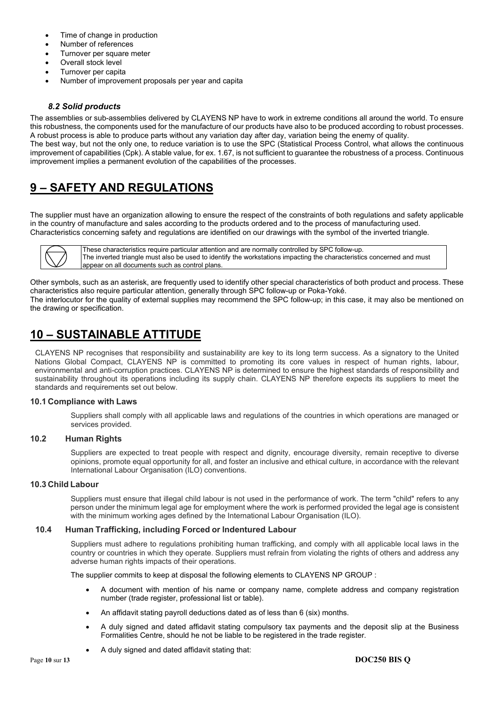- Time of change in production
- Number of references
- Turnover per square meter
- Overall stock level
- Turnover per capita
- Number of improvement proposals per year and capita

## *8.2 Solid products*

The assemblies or sub-assemblies delivered by CLAYENS NP have to work in extreme conditions all around the world. To ensure this robustness, the components used for the manufacture of our products have also to be produced according to robust processes. A robust process is able to produce parts without any variation day after day, variation being the enemy of quality. The best way, but not the only one, to reduce variation is to use the SPC (Statistical Process Control, what allows the continuous improvement of capabilities (Cpk). A stable value, for ex. 1.67, is not sufficient to guarantee the robustness of a process. Continuous improvement implies a permanent evolution of the capabilities of the processes.

# **9 – SAFETY AND REGULATIONS**

The supplier must have an organization allowing to ensure the respect of the constraints of both regulations and safety applicable in the country of manufacture and sales according to the products ordered and to the process of manufacturing used. Characteristics concerning safety and regulations are identified on our drawings with the symbol of the inverted triangle.



These characteristics require particular attention and are normally controlled by SPC follow-up. The inverted triangle must also be used to identify the workstations impacting the characteristics concerned and must appear on all documents such as control plans.

Other symbols, such as an asterisk, are frequently used to identify other special characteristics of both product and process. These characteristics also require particular attention, generally through SPC follow-up or Poka-Yoké. The interlocutor for the quality of external supplies may recommend the SPC follow-up; in this case, it may also be mentioned on the drawing or specification.

# **10 – SUSTAINABLE ATTITUDE**

CLAYENS NP recognises that responsibility and sustainability are key to its long term success. As a signatory to the United Nations Global Compact, CLAYENS NP is committed to promoting its core values in respect of human rights, labour, environmental and anti-corruption practices. CLAYENS NP is determined to ensure the highest standards of responsibility and sustainability throughout its operations including its supply chain. CLAYENS NP therefore expects its suppliers to meet the standards and requirements set out below.

## **10.1 Compliance with Laws**

Suppliers shall comply with all applicable laws and regulations of the countries in which operations are managed or services provided.

## **10.2 Human Rights**

Suppliers are expected to treat people with respect and dignity, encourage diversity, remain receptive to diverse opinions, promote equal opportunity for all, and foster an inclusive and ethical culture, in accordance with the relevant International Labour Organisation (ILO) conventions.

## **10.3 Child Labour**

Suppliers must ensure that illegal child labour is not used in the performance of work. The term "child" refers to any person under the minimum legal age for employment where the work is performed provided the legal age is consistent with the minimum working ages defined by the International Labour Organisation (ILO).

## **10.4 Human Trafficking, including Forced or lndentured Labour**

Suppliers must adhere to regulations prohibiting human trafficking, and comply with all applicable local laws in the country or countries in which they operate. Suppliers must refrain from violating the rights of others and address any adverse human rights impacts of their operations.

The supplier commits to keep at disposal the following elements to CLAYENS NP GROUP :

- A document with mention of his name or company name, complete address and company registration number (trade register, professional list or table).
- An affidavit stating payroll deductions dated as of less than 6 (six) months.
- A duly signed and dated affidavit stating compulsory tax payments and the deposit slip at the Business Formalities Centre, should he not be liable to be registered in the trade register.
- A duly signed and dated affidavit stating that: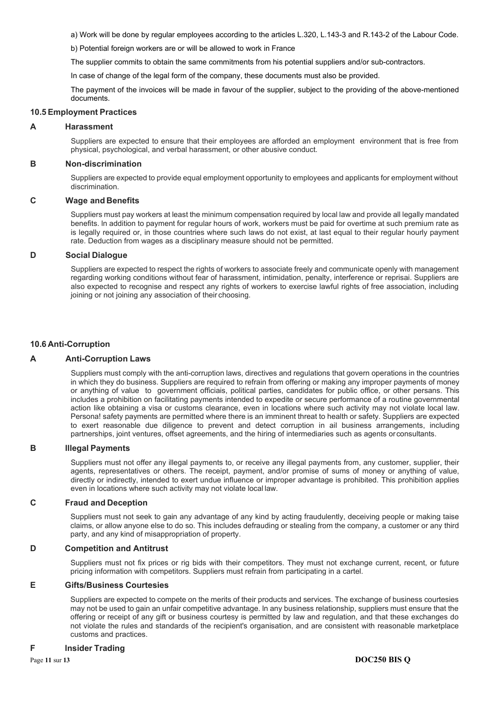a) Work will be done by regular employees according to the articles L.320, L.143-3 and R.143-2 of the Labour Code.

b) Potential foreign workers are or will be allowed to work in France

The supplier commits to obtain the same commitments from his potential suppliers and/or sub-contractors.

In case of change of the legal form of the company, these documents must also be provided.

The payment of the invoices will be made in favour of the supplier, subject to the providing of the above-mentioned documents.

### **10.5 Employment Practices**

### **A Harassment**

Suppliers are expected to ensure that their employees are afforded an employment environment that is free from physical, psychological, and verbal harassment, or other abusive conduct.

### **B Non-discrimination**

Suppliers are expected to provide equal employment opportunity to employees and applicants for employment without discrimination.

### **C Wage and Benefits**

Suppliers must pay workers at least the minimum compensation required by local law and provide all legally mandated benefits. ln addition to payment for regular hours of work, workers must be paid for overtime at such premium rate as is legally required or, in those countries where such laws do not exist, at last equal to their regular hourly payment rate. Deduction from wages as a disciplinary measure should not be permitted.

### **D Social Dialogue**

Suppliers are expected to respect the rights of workers to associate freely and communicate openly with management regarding working conditions without fear of harassment, intimidation, penalty, interference or reprisai. Suppliers are also expected to recognise and respect any rights of workers to exercise lawful rights of free association, including joining or not joining any association of their choosing.

### **10.6 Anti-Corruption**

### **A Anti-Corruption Laws**

Suppliers must comply with the anti-corruption laws, directives and regulations that govern operations in the countries in which they do business. Suppliers are required to refrain from offering or making any improper payments of money or anything of value to government officiais, political parties, candidates for public office, or other persans. This includes a prohibition on facilitating payments intended to expedite or secure performance of a routine governmental action like obtaining a visa or customs clearance, even in locations where such activity may not violate local law. Persona! safety payments are permitted where there is an imminent threat to health or safety. Suppliers are expected to exert reasonable due diligence to prevent and detect corruption in ail business arrangements, including partnerships, joint ventures, offset agreements, and the hiring of intermediaries such as agents or consultants.

### **B lllegal Payments**

Suppliers must not offer any illegal payments to, or receive any illegal payments from, any customer, supplier, their agents, representatives or others. The receipt, payment, and/or promise of sums of money or anything of value, directly or indirectly, intended to exert undue influence or improper advantage is prohibited. This prohibition applies even in locations where such activity may not violate local law.

### **C Fraud and Deception**

Suppliers must not seek to gain any advantage of any kind by acting fraudulently, deceiving people or making taise claims, or allow anyone else to do so. This includes defrauding or stealing from the company, a customer or any third party, and any kind of misappropriation of property.

### **D Competition and Antitrust**

Suppliers must not fix prices or rig bids with their competitors. They must not exchange current, recent, or future pricing information with competitors. Suppliers must refrain from participating in a cartel.

### **E Gifts/Business Courtesies**

Suppliers are expected to compete on the merits of their products and services. The exchange of business courtesies may not be used to gain an unfair competitive advantage. ln any business relationship, suppliers must ensure that the offering or receipt of any gift or business courtesy is permitted by law and regulation, and that these exchanges do not violate the rules and standards of the recipient's organisation, and are consistent with reasonable marketplace customs and practices.

### **F lnsider Trading**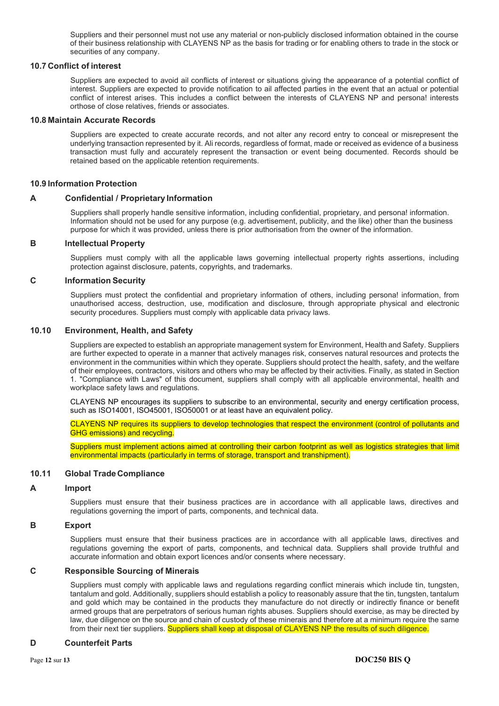Suppliers and their personnel must not use any material or non-publicly disclosed information obtained in the course of their business relationship with CLAYENS NP as the basis for trading or for enabling others to trade in the stock or securities of any company.

### **10.7 Conflict of interest**

Suppliers are expected to avoid ail conflicts of interest or situations giving the appearance of a potential conflict of interest. Suppliers are expected to provide notification to ail affected parties in the event that an actual or potential conflict of interest arises. This includes a conflict between the interests of CLAYENS NP and persona! interests orthose of close relatives, friends or associates.

### **10.8 Maintain Accurate Records**

Suppliers are expected to create accurate records, and not alter any record entry to conceal or misrepresent the underlying transaction represented by it. Ali records, regardless of format, made or received as evidence of a business transaction must fully and accurately represent the transaction or event being documented. Records should be retained based on the applicable retention requirements.

### **10.9 Information Protection**

### **A Confidential / Proprietary Information**

Suppliers shall properly handle sensitive information, including confidential, proprietary, and persona! information. Information should not be used for any purpose (e.g. advertisement, publicity, and the like) other than the business purpose for which it was provided, unless there is prior authorisation from the owner of the information.

### **B lntellectual Property**

Suppliers must comply with all the applicable laws governing intellectual property rights assertions, including protection against disclosure, patents, copyrights, and trademarks.

### **C Information Security**

Suppliers must protect the confidential and proprietary information of others, including persona! information, from unauthorised access, destruction, use, modification and disclosure, through appropriate physical and electronic security procedures. Suppliers must comply with applicable data privacy laws.

### **10.10 Environment, Health, and Safety**

Suppliers are expected to establish an appropriate management system for Environment, Health and Safety. Suppliers are further expected to operate in a manner that actively manages risk, conserves natural resources and protects the environment in the communities within which they operate. Suppliers should protect the health, safety, and the welfare of their employees, contractors, visitors and others who may be affected by their activities. Finally, as stated in Section 1. "Compliance with Laws" of this document, suppliers shall comply with all applicable environmental, health and workplace safety laws and regulations.

CLAYENS NP encourages its suppliers to subscribe to an environmental, security and energy certification process, such as ISO14001, ISO45001, ISO50001 or at least have an equivalent policy.

CLAYENS NP requires its suppliers to develop technologies that respect the environment (control of pollutants and GHG emissions) and recycling.

Suppliers must implement actions aimed at controlling their carbon footprint as well as logistics strategies that limit environmental impacts (particularly in terms of storage, transport and transhipment).

### **10.11 Global Trade Compliance**

### **A Import**

Suppliers must ensure that their business practices are in accordance with all applicable laws, directives and regulations governing the import of parts, components, and technical data.

### **B Export**

Suppliers must ensure that their business practices are in accordance with all applicable laws, directives and regulations governing the export of parts, components, and technical data. Suppliers shall provide truthful and accurate information and obtain export licences and/or consents where necessary.

### **C Responsible Sourcing of Minerais**

Suppliers must comply with applicable laws and regulations regarding conflict minerais which include tin, tungsten, tantalum and gold. Additionally, suppliers should establish a policy to reasonably assure that the tin, tungsten, tantalum and gold which may be contained in the products they manufacture do not directly or indirectly finance or benefit armed groups that are perpetrators of serious human rights abuses. Suppliers should exercise, as may be directed by law, due diligence on the source and chain of custody of these minerais and therefore at a minimum require the same from their next tier suppliers. Suppliers shall keep at disposal of CLAYENS NP the results of such diligence.

### **D Counterfeit Parts**